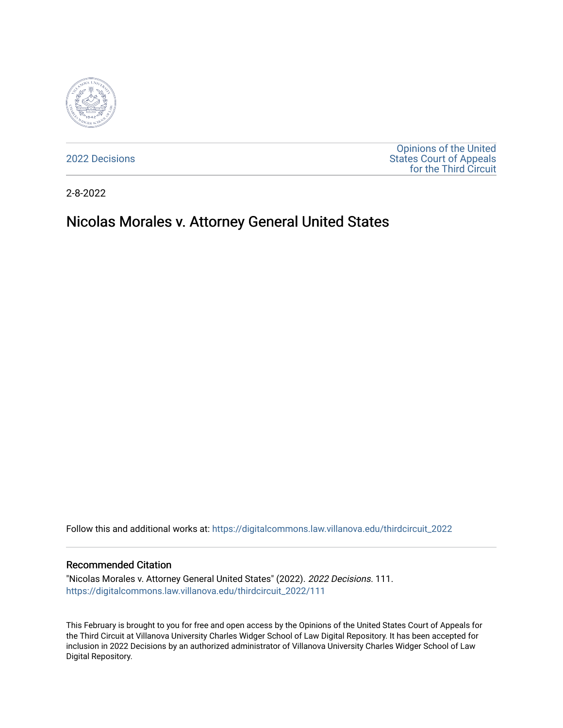

[2022 Decisions](https://digitalcommons.law.villanova.edu/thirdcircuit_2022)

[Opinions of the United](https://digitalcommons.law.villanova.edu/thirdcircuit)  [States Court of Appeals](https://digitalcommons.law.villanova.edu/thirdcircuit)  [for the Third Circuit](https://digitalcommons.law.villanova.edu/thirdcircuit) 

2-8-2022

# Nicolas Morales v. Attorney General United States

Follow this and additional works at: [https://digitalcommons.law.villanova.edu/thirdcircuit\\_2022](https://digitalcommons.law.villanova.edu/thirdcircuit_2022?utm_source=digitalcommons.law.villanova.edu%2Fthirdcircuit_2022%2F111&utm_medium=PDF&utm_campaign=PDFCoverPages) 

#### Recommended Citation

"Nicolas Morales v. Attorney General United States" (2022). 2022 Decisions. 111. [https://digitalcommons.law.villanova.edu/thirdcircuit\\_2022/111](https://digitalcommons.law.villanova.edu/thirdcircuit_2022/111?utm_source=digitalcommons.law.villanova.edu%2Fthirdcircuit_2022%2F111&utm_medium=PDF&utm_campaign=PDFCoverPages)

This February is brought to you for free and open access by the Opinions of the United States Court of Appeals for the Third Circuit at Villanova University Charles Widger School of Law Digital Repository. It has been accepted for inclusion in 2022 Decisions by an authorized administrator of Villanova University Charles Widger School of Law Digital Repository.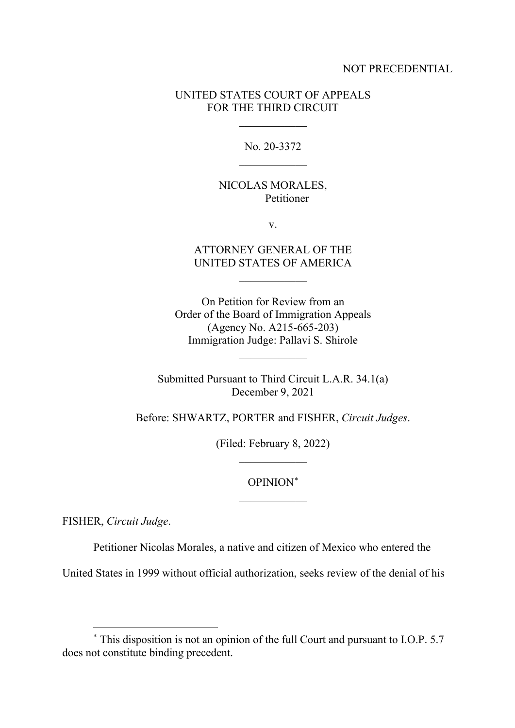#### NOT PRECEDENTIAL

## UNITED STATES COURT OF APPEALS FOR THE THIRD CIRCUIT

 $\overline{\phantom{a}}$  , where  $\overline{\phantom{a}}$ 

No. 20-3372  $\overline{\phantom{a}}$  , where  $\overline{\phantom{a}}$ 

## NICOLAS MORALES, Petitioner

v.

## ATTORNEY GENERAL OF THE UNITED STATES OF AMERICA

 $\overline{\phantom{a}}$  , where  $\overline{\phantom{a}}$ 

On Petition for Review from an Order of the Board of Immigration Appeals (Agency No. A215-665-203) Immigration Judge: Pallavi S. Shirole

Submitted Pursuant to Third Circuit L.A.R. 34.1(a) December 9, 2021

 $\overline{\phantom{a}}$  , where  $\overline{\phantom{a}}$ 

Before: SHWARTZ, PORTER and FISHER, *Circuit Judges*.

(Filed: February 8, 2022)  $\overline{\phantom{a}}$  , where  $\overline{\phantom{a}}$ 

> OPINION[\\*](#page-1-0)  $\overline{\phantom{a}}$  , where  $\overline{\phantom{a}}$

FISHER, *Circuit Judge*.

Petitioner Nicolas Morales, a native and citizen of Mexico who entered the

United States in 1999 without official authorization, seeks review of the denial of his

<span id="page-1-0"></span><sup>\*</sup> This disposition is not an opinion of the full Court and pursuant to I.O.P. 5.7 does not constitute binding precedent.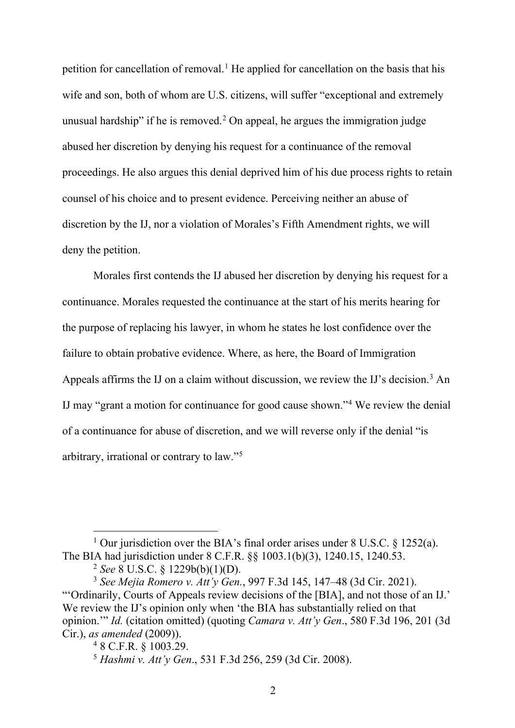petition for cancellation of removal.<sup>[1](#page-2-0)</sup> He applied for cancellation on the basis that his wife and son, both of whom are U.S. citizens, will suffer "exceptional and extremely unusual hardship" if he is removed.<sup>[2](#page-2-1)</sup> On appeal, he argues the immigration judge abused her discretion by denying his request for a continuance of the removal proceedings. He also argues this denial deprived him of his due process rights to retain counsel of his choice and to present evidence. Perceiving neither an abuse of discretion by the IJ, nor a violation of Morales's Fifth Amendment rights, we will deny the petition.

Morales first contends the IJ abused her discretion by denying his request for a continuance. Morales requested the continuance at the start of his merits hearing for the purpose of replacing his lawyer, in whom he states he lost confidence over the failure to obtain probative evidence. Where, as here, the Board of Immigration Appeals affirms the IJ on a claim without discussion, we review the IJ's decision.<sup>[3](#page-2-2)</sup> An IJ may "grant a motion for continuance for good cause shown."[4](#page-2-3) We review the denial of a continuance for abuse of discretion, and we will reverse only if the denial "is arbitrary, irrational or contrary to law."[5](#page-2-4)

<span id="page-2-0"></span><sup>&</sup>lt;sup>1</sup> Our jurisdiction over the BIA's final order arises under 8 U.S.C.  $\frac{1252(a)}{a}$ . The BIA had jurisdiction under 8 C.F.R. §§ 1003.1(b)(3), 1240.15, 1240.53.

<sup>2</sup> *See* 8 U.S.C. § 1229b(b)(1)(D).

<span id="page-2-3"></span><span id="page-2-2"></span><span id="page-2-1"></span><sup>3</sup> *See Mejia Romero v. Att'y Gen.*, 997 F.3d 145, 147–48 (3d Cir. 2021). "'Ordinarily, Courts of Appeals review decisions of the [BIA], and not those of an IJ.' We review the IJ's opinion only when 'the BIA has substantially relied on that opinion.'" *Id.* (citation omitted) (quoting *Camara v. Att'y Gen*., 580 F.3d 196, 201 (3d Cir.), *as amended* (2009)).

<sup>4</sup> 8 C.F.R. § 1003.29.

<span id="page-2-4"></span><sup>5</sup> *Hashmi v. Att'y Gen*., 531 F.3d 256, 259 (3d Cir. 2008).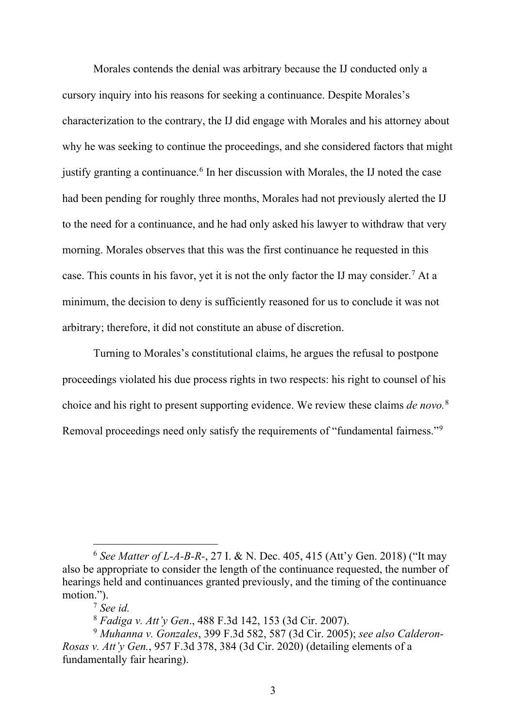Morales contends the denial was arbitrary because the IJ conducted only a cursory inquiry into his reasons for seeking a continuance. Despite Morales's characterization to the contrary, the IJ did engage with Morales and his attorney about why he was seeking to continue the proceedings, and she considered factors that might justify granting a continuance. [6](#page-3-0) In her discussion with Morales, the IJ noted the case had been pending for roughly three months, Morales had not previously alerted the IJ to the need for a continuance, and he had only asked his lawyer to withdraw that very morning. Morales observes that this was the first continuance he requested in this case. This counts in his favor, yet it is not the only factor the IJ may consider.[7](#page-3-1) At a minimum, the decision to deny is sufficiently reasoned for us to conclude it was not arbitrary; therefore, it did not constitute an abuse of discretion.

Turning to Morales's constitutional claims, he argues the refusal to postpone proceedings violated his due process rights in two respects: his right to counsel of his choice and his right to present supporting evidence. We review these claims *de novo.*[8](#page-3-2) Removal proceedings need only satisfy the requirements of "fundamental fairness."[9](#page-3-3)

<span id="page-3-0"></span><sup>6</sup> *See Matter of L-A-B-R-*, 27 I. & N. Dec. 405, 415 (Att'y Gen. 2018) ("It may also be appropriate to consider the length of the continuance requested, the number of hearings held and continuances granted previously, and the timing of the continuance motion.").

<sup>&</sup>lt;sup>7</sup> See id.<br><sup>8</sup> Fadiga v. Att'y Gen., 488 F.3d 142, 153 (3d Cir. 2007).

<span id="page-3-3"></span><span id="page-3-2"></span><span id="page-3-1"></span><sup>8</sup> *Fadiga v. Att'y Gen*., 488 F.3d 142, 153 (3d Cir. 2007). 9 *Muhanna v. Gonzales*, 399 F.3d 582, 587 (3d Cir. 2005); *see also Calderon-Rosas v. Att'y Gen.*, 957 F.3d 378, 384 (3d Cir. 2020) (detailing elements of a fundamentally fair hearing).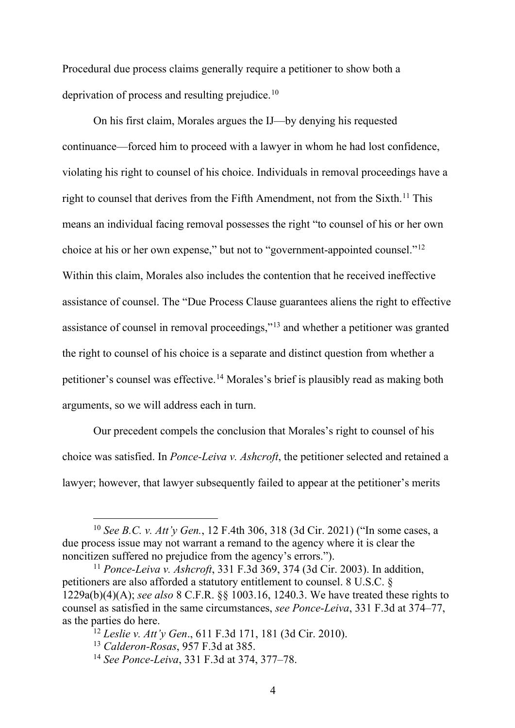Procedural due process claims generally require a petitioner to show both a deprivation of process and resulting prejudice.<sup>[10](#page-4-0)</sup>

On his first claim, Morales argues the IJ—by denying his requested continuance—forced him to proceed with a lawyer in whom he had lost confidence, violating his right to counsel of his choice. Individuals in removal proceedings have a right to counsel that derives from the Fifth Amendment, not from the Sixth.<sup>11</sup> This means an individual facing removal possesses the right "to counsel of his or her own choice at his or her own expense," but not to "government-appointed counsel."[12](#page-4-2) Within this claim, Morales also includes the contention that he received ineffective assistance of counsel. The "Due Process Clause guarantees aliens the right to effective assistance of counsel in removal proceedings,"[13](#page-4-3) and whether a petitioner was granted the right to counsel of his choice is a separate and distinct question from whether a petitioner's counsel was effective. [14](#page-4-4) Morales's brief is plausibly read as making both arguments, so we will address each in turn.

Our precedent compels the conclusion that Morales's right to counsel of his choice was satisfied. In *Ponce-Leiva v. Ashcroft*, the petitioner selected and retained a lawyer; however, that lawyer subsequently failed to appear at the petitioner's merits

<span id="page-4-0"></span><sup>10</sup> *See B.C. v. Att'y Gen.*, 12 F.4th 306, 318 (3d Cir. 2021) ("In some cases, a due process issue may not warrant a remand to the agency where it is clear the noncitizen suffered no prejudice from the agency's errors.").

<span id="page-4-2"></span><span id="page-4-1"></span><sup>11</sup> *Ponce-Leiva v. Ashcroft*, 331 F.3d 369, 374 (3d Cir. 2003). In addition, petitioners are also afforded a statutory entitlement to counsel. 8 U.S.C. § 1229a(b)(4)(A); *see also* 8 C.F.R. §§ 1003.16, 1240.3. We have treated these rights to counsel as satisfied in the same circumstances, *see Ponce-Leiva*, 331 F.3d at 374–77, as the parties do here.

<span id="page-4-3"></span><sup>&</sup>lt;sup>12</sup> *Leslie v. Att'y Gen.*, 611 F.3d 171, 181 (3d Cir. 2010).<br><sup>13</sup> *Calderon-Rosas*, 957 F.3d at 385.

<span id="page-4-4"></span><sup>&</sup>lt;sup>14</sup> *See Ponce-Leiva*, 331 F.3d at 374, 377–78.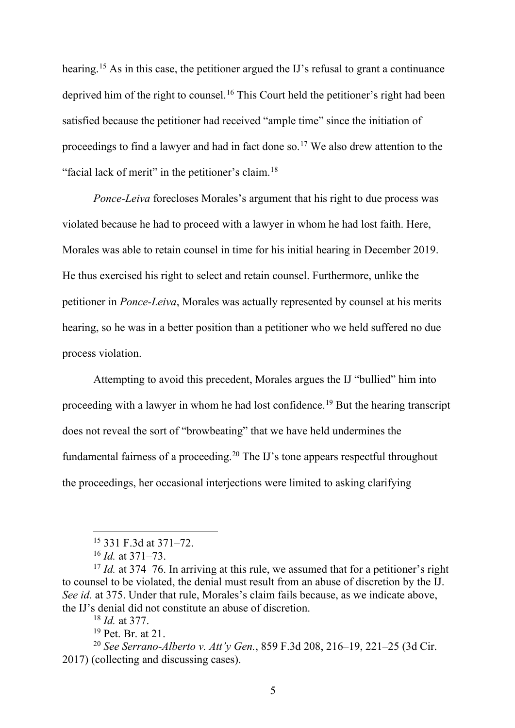hearing.<sup>[15](#page-5-0)</sup> As in this case, the petitioner argued the IJ's refusal to grant a continuance deprived him of the right to counsel.<sup>[16](#page-5-1)</sup> This Court held the petitioner's right had been satisfied because the petitioner had received "ample time" since the initiation of proceedings to find a lawyer and had in fact done so.<sup>[17](#page-5-2)</sup> We also drew attention to the "facial lack of merit" in the petitioner's claim.<sup>[18](#page-5-3)</sup>

*Ponce-Leiva* forecloses Morales's argument that his right to due process was violated because he had to proceed with a lawyer in whom he had lost faith. Here, Morales was able to retain counsel in time for his initial hearing in December 2019. He thus exercised his right to select and retain counsel. Furthermore, unlike the petitioner in *Ponce-Leiva*, Morales was actually represented by counsel at his merits hearing, so he was in a better position than a petitioner who we held suffered no due process violation.

Attempting to avoid this precedent, Morales argues the IJ "bullied" him into proceeding with a lawyer in whom he had lost confidence. [19](#page-5-4) But the hearing transcript does not reveal the sort of "browbeating" that we have held undermines the fundamental fairness of a proceeding[.20](#page-5-5) The IJ's tone appears respectful throughout the proceedings, her occasional interjections were limited to asking clarifying

<sup>15</sup> 331 F.3d at 371–72.

<span id="page-5-2"></span><span id="page-5-1"></span><span id="page-5-0"></span><sup>&</sup>lt;sup>16</sup> *Id.* at 371–73.<br><sup>17</sup> *Id.* at 374–76. In arriving at this rule, we assumed that for a petitioner's right to counsel to be violated, the denial must result from an abuse of discretion by the IJ. *See id.* at 375. Under that rule, Morales's claim fails because, as we indicate above, the IJ's denial did not constitute an abuse of discretion.

<sup>18</sup> *Id.* at 377.

<sup>19</sup> Pet. Br. at 21.

<span id="page-5-5"></span><span id="page-5-4"></span><span id="page-5-3"></span><sup>20</sup> *See Serrano-Alberto v. Att'y Gen.*, 859 F.3d 208, 216–19, 221–25 (3d Cir. 2017) (collecting and discussing cases).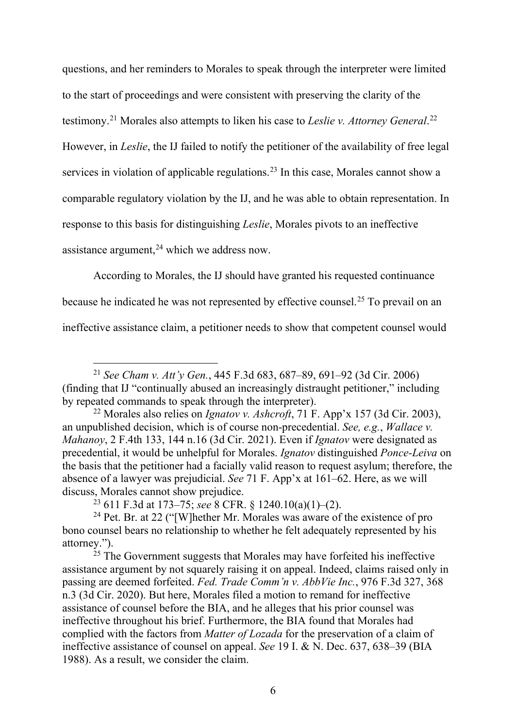questions, and her reminders to Morales to speak through the interpreter were limited to the start of proceedings and were consistent with preserving the clarity of the testimony.[21](#page-6-0) Morales also attempts to liken his case to *Leslie v. Attorney General*. [22](#page-6-1) However, in *Leslie*, the IJ failed to notify the petitioner of the availability of free legal services in violation of applicable regulations.<sup>[23](#page-6-2)</sup> In this case, Morales cannot show a comparable regulatory violation by the IJ, and he was able to obtain representation. In response to this basis for distinguishing *Leslie*, Morales pivots to an ineffective assistance argument,  $24$  which we address now.

According to Morales, the IJ should have granted his requested continuance

because he indicated he was not represented by effective counsel.<sup>[25](#page-6-4)</sup> To prevail on an

ineffective assistance claim, a petitioner needs to show that competent counsel would

<sup>23</sup> 611 F.3d at 173–75; *see* 8 CFR. § 1240.10(a)(1)–(2).

<span id="page-6-3"></span><span id="page-6-2"></span><sup>24</sup> Pet. Br. at 22 ("[W]hether Mr. Morales was aware of the existence of pro bono counsel bears no relationship to whether he felt adequately represented by his

<span id="page-6-4"></span> $25$  The Government suggests that Morales may have forfeited his ineffective assistance argument by not squarely raising it on appeal. Indeed, claims raised only in passing are deemed forfeited. *Fed. Trade Comm'n v. AbbVie Inc.*, 976 F.3d 327, 368 n.3 (3d Cir. 2020). But here, Morales filed a motion to remand for ineffective assistance of counsel before the BIA, and he alleges that his prior counsel was ineffective throughout his brief. Furthermore, the BIA found that Morales had complied with the factors from *Matter of Lozada* for the preservation of a claim of ineffective assistance of counsel on appeal. *See* 19 I. & N. Dec. 637, 638–39 (BIA 1988). As a result, we consider the claim.

<span id="page-6-0"></span><sup>21</sup> *See Cham v. Att'y Gen.*, 445 F.3d 683, 687–89, 691–92 (3d Cir. 2006) (finding that IJ "continually abused an increasingly distraught petitioner," including by repeated commands to speak through the interpreter).

<span id="page-6-1"></span><sup>22</sup> Morales also relies on *Ignatov v. Ashcroft*, 71 F. App'x 157 (3d Cir. 2003), an unpublished decision, which is of course non-precedential. *See, e.g.*, *Wallace v. Mahanoy*, 2 F.4th 133, 144 n.16 (3d Cir. 2021). Even if *Ignatov* were designated as precedential, it would be unhelpful for Morales. *Ignatov* distinguished *Ponce-Leiva* on the basis that the petitioner had a facially valid reason to request asylum; therefore, the absence of a lawyer was prejudicial. *See* 71 F. App'x at 161–62. Here, as we will discuss, Morales cannot show prejudice.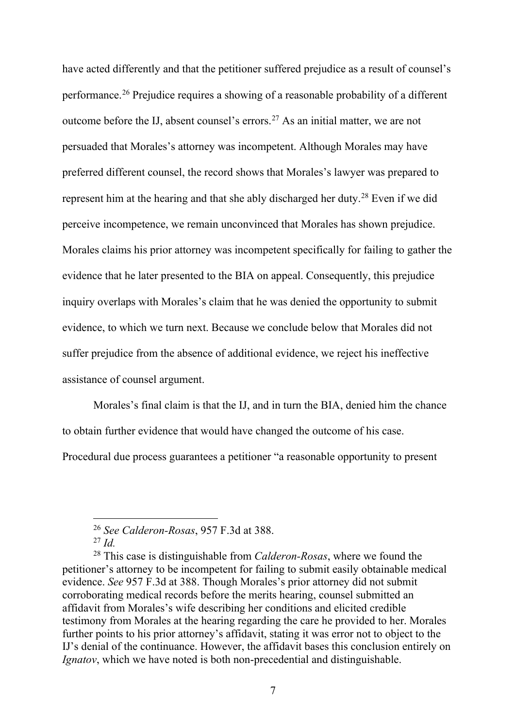have acted differently and that the petitioner suffered prejudice as a result of counsel's performance. [26](#page-7-0) Prejudice requires a showing of a reasonable probability of a different outcome before the IJ, absent counsel's errors. [27](#page-7-1) As an initial matter, we are not persuaded that Morales's attorney was incompetent. Although Morales may have preferred different counsel, the record shows that Morales's lawyer was prepared to represent him at the hearing and that she ably discharged her duty.[28](#page-7-2) Even if we did perceive incompetence, we remain unconvinced that Morales has shown prejudice. Morales claims his prior attorney was incompetent specifically for failing to gather the evidence that he later presented to the BIA on appeal. Consequently, this prejudice inquiry overlaps with Morales's claim that he was denied the opportunity to submit evidence, to which we turn next. Because we conclude below that Morales did not suffer prejudice from the absence of additional evidence, we reject his ineffective assistance of counsel argument.

Morales's final claim is that the IJ, and in turn the BIA, denied him the chance to obtain further evidence that would have changed the outcome of his case.

Procedural due process guarantees a petitioner "a reasonable opportunity to present

<sup>26</sup> *See Calderon-Rosas*, 957 F.3d at 388.

<sup>27</sup> *Id.*

<span id="page-7-2"></span><span id="page-7-1"></span><span id="page-7-0"></span><sup>28</sup> This case is distinguishable from *Calderon-Rosas*, where we found the petitioner's attorney to be incompetent for failing to submit easily obtainable medical evidence. *See* 957 F.3d at 388. Though Morales's prior attorney did not submit corroborating medical records before the merits hearing, counsel submitted an affidavit from Morales's wife describing her conditions and elicited credible testimony from Morales at the hearing regarding the care he provided to her. Morales further points to his prior attorney's affidavit, stating it was error not to object to the IJ's denial of the continuance. However, the affidavit bases this conclusion entirely on *Ignatov*, which we have noted is both non-precedential and distinguishable.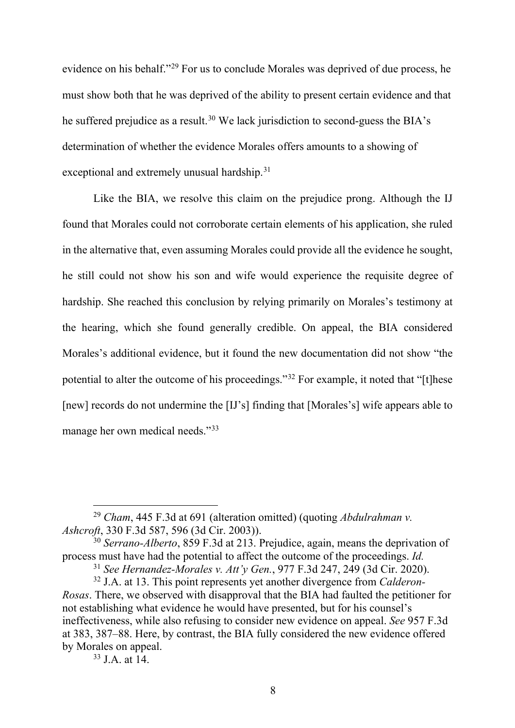evidence on his behalf."[29](#page-8-0) For us to conclude Morales was deprived of due process, he must show both that he was deprived of the ability to present certain evidence and that he suffered prejudice as a result.<sup>[30](#page-8-1)</sup> We lack jurisdiction to second-guess the BIA's determination of whether the evidence Morales offers amounts to a showing of exceptional and extremely unusual hardship.<sup>[31](#page-8-2)</sup>

Like the BIA, we resolve this claim on the prejudice prong. Although the IJ found that Morales could not corroborate certain elements of his application, she ruled in the alternative that, even assuming Morales could provide all the evidence he sought, he still could not show his son and wife would experience the requisite degree of hardship. She reached this conclusion by relying primarily on Morales's testimony at the hearing, which she found generally credible. On appeal, the BIA considered Morales's additional evidence, but it found the new documentation did not show "the potential to alter the outcome of his proceedings."[32](#page-8-3) For example, it noted that "[t]hese [new] records do not undermine the [IJ's] finding that [Morales's] wife appears able to manage her own medical needs."[33](#page-8-4)

<span id="page-8-0"></span><sup>29</sup> *Cham*, 445 F.3d at 691 (alteration omitted) (quoting *Abdulrahman v. Ashcroft*, 330 F.3d 587, 596 (3d Cir. 2003)).

<span id="page-8-1"></span><sup>30</sup> *Serrano-Alberto*, 859 F.3d at 213. Prejudice, again, means the deprivation of process must have had the potential to affect the outcome of the proceedings. *Id.*

<sup>31</sup> *See Hernandez-Morales v. Att'y Gen.*, 977 F.3d 247, 249 (3d Cir. 2020).

<span id="page-8-3"></span><span id="page-8-2"></span><sup>32</sup> J.A. at 13. This point represents yet another divergence from *Calderon-Rosas*. There, we observed with disapproval that the BIA had faulted the petitioner for not establishing what evidence he would have presented, but for his counsel's ineffectiveness, while also refusing to consider new evidence on appeal. *See* 957 F.3d at 383, 387–88. Here, by contrast, the BIA fully considered the new evidence offered by Morales on appeal.

<span id="page-8-4"></span><sup>33</sup> J.A. at 14.